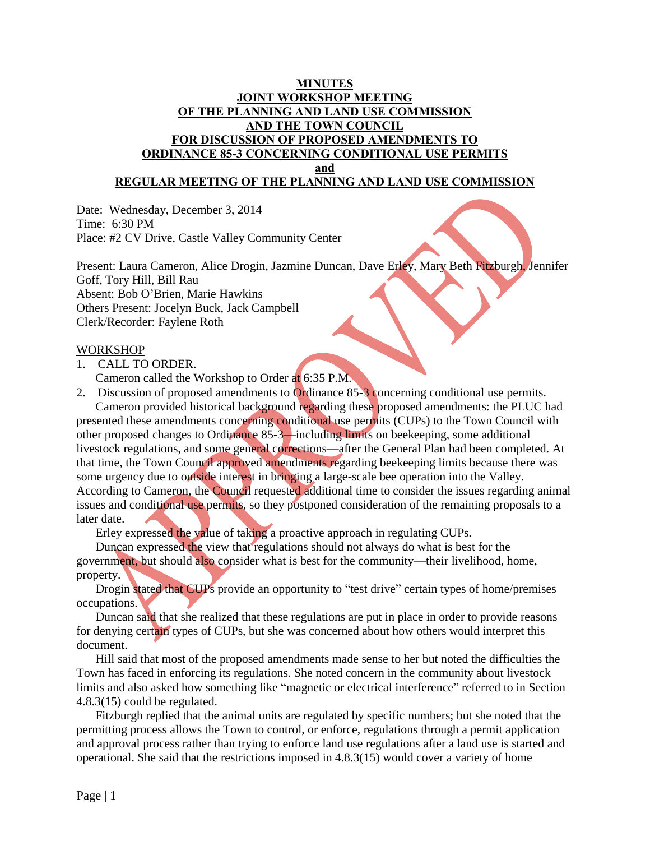# **MINUTES JOINT WORKSHOP MEETING OF THE PLANNING AND LAND USE COMMISSION AND THE TOWN COUNCIL FOR DISCUSSION OF PROPOSED AMENDMENTS TO ORDINANCE 85-3 CONCERNING CONDITIONAL USE PERMITS**

**and**

## **REGULAR MEETING OF THE PLANNING AND LAND USE COMMISSION**

Date: Wednesday, December 3, 2014 Time: 6:30 PM Place: #2 CV Drive, Castle Valley Community Center

Present: Laura Cameron, Alice Drogin, Jazmine Duncan, Dave Erley, Mary Beth Fitzburgh, Jennifer Goff, Tory Hill, Bill Rau Absent: Bob O'Brien, Marie Hawkins Others Present: Jocelyn Buck, Jack Campbell Clerk/Recorder: Faylene Roth

#### WORKSHOP

1. CALL TO ORDER.

Cameron called the Workshop to Order at 6:35 P.M.

2. Discussion of proposed amendments to Ordinance 85-3 concerning conditional use permits. Cameron provided historical background regarding these proposed amendments: the PLUC had presented these amendments concerning conditional use permits (CUPs) to the Town Council with

other proposed changes to Ordinance 85-3—including limits on beekeeping, some additional livestock regulations, and some general corrections—after the General Plan had been completed. At that time, the Town Council approved amendments regarding beekeeping limits because there was some urgency due to outside interest in bringing a large-scale bee operation into the Valley. According to Cameron, the Council requested additional time to consider the issues regarding animal issues and conditional use permits, so they postponed consideration of the remaining proposals to a later date.

Erley expressed the value of taking a proactive approach in regulating CUPs.

Duncan expressed the view that regulations should not always do what is best for the government, but should also consider what is best for the community—their livelihood, home, property.

Drogin stated that CUPs provide an opportunity to "test drive" certain types of home/premises occupations.

Duncan said that she realized that these regulations are put in place in order to provide reasons for denying certain types of CUPs, but she was concerned about how others would interpret this document.

Hill said that most of the proposed amendments made sense to her but noted the difficulties the Town has faced in enforcing its regulations. She noted concern in the community about livestock limits and also asked how something like "magnetic or electrical interference" referred to in Section 4.8.3(15) could be regulated.

Fitzburgh replied that the animal units are regulated by specific numbers; but she noted that the permitting process allows the Town to control, or enforce, regulations through a permit application and approval process rather than trying to enforce land use regulations after a land use is started and operational. She said that the restrictions imposed in 4.8.3(15) would cover a variety of home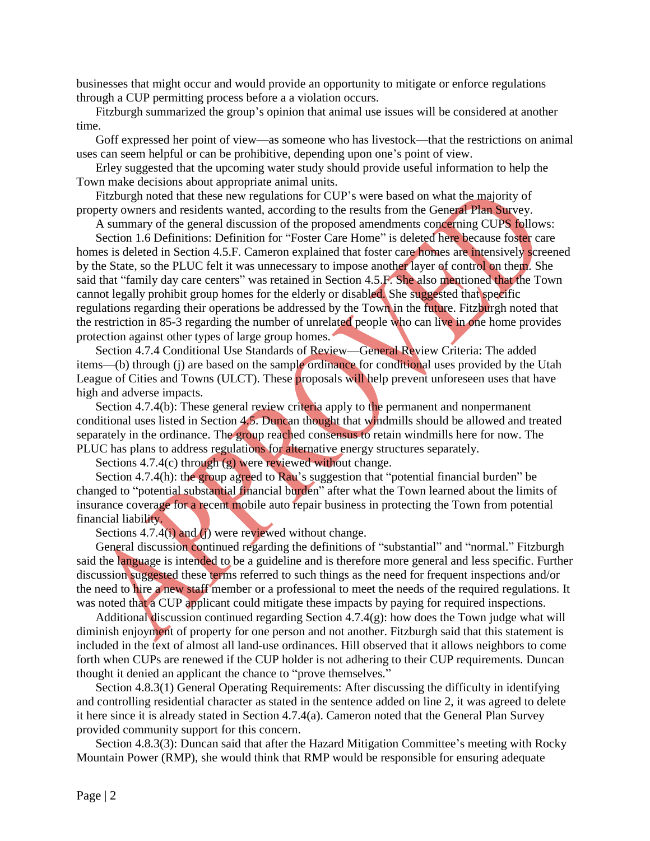businesses that might occur and would provide an opportunity to mitigate or enforce regulations through a CUP permitting process before a a violation occurs.

Fitzburgh summarized the group's opinion that animal use issues will be considered at another time.

Goff expressed her point of view—as someone who has livestock—that the restrictions on animal uses can seem helpful or can be prohibitive, depending upon one's point of view.

Erley suggested that the upcoming water study should provide useful information to help the Town make decisions about appropriate animal units.

Fitzburgh noted that these new regulations for CUP's were based on what the majority of property owners and residents wanted, according to the results from the General Plan Survey.

A summary of the general discussion of the proposed amendments concerning CUPS follows:

Section 1.6 Definitions: Definition for "Foster Care Home" is deleted here because foster care homes is deleted in Section 4.5.F. Cameron explained that foster care homes are intensively screened by the State, so the PLUC felt it was unnecessary to impose another layer of control on them. She said that "family day care centers" was retained in Section 4.5.F. She also mentioned that the Town cannot legally prohibit group homes for the elderly or disabled. She suggested that specific regulations regarding their operations be addressed by the Town in the future. Fitzburgh noted that the restriction in 85-3 regarding the number of unrelated people who can live in one home provides protection against other types of large group homes.

Section 4.7.4 Conditional Use Standards of Review—General Review Criteria: The added items—(b) through (j) are based on the sample ordinance for conditional uses provided by the Utah League of Cities and Towns (ULCT). These proposals will help prevent unforeseen uses that have high and adverse impacts.

Section 4.7.4(b): These general review criteria apply to the permanent and nonpermanent conditional uses listed in Section 4.5. Duncan thought that windmills should be allowed and treated separately in the ordinance. The group reached consensus to retain windmills here for now. The PLUC has plans to address regulations for alternative energy structures separately.

Sections 4.7.4(c) through (g) were reviewed without change.

Section 4.7.4(h): the group agreed to Rau's suggestion that "potential financial burden" be changed to "potential substantial financial burden" after what the Town learned about the limits of insurance coverage for a recent mobile auto repair business in protecting the Town from potential financial liability.

Sections 4.7.4(i) and (j) were reviewed without change.

General discussion continued regarding the definitions of "substantial" and "normal." Fitzburgh said the language is intended to be a guideline and is therefore more general and less specific. Further discussion suggested these terms referred to such things as the need for frequent inspections and/or the need to hire a new staff member or a professional to meet the needs of the required regulations. It was noted that a CUP applicant could mitigate these impacts by paying for required inspections.

Additional discussion continued regarding Section 4.7.4(g): how does the Town judge what will diminish enjoyment of property for one person and not another. Fitzburgh said that this statement is included in the text of almost all land-use ordinances. Hill observed that it allows neighbors to come forth when CUPs are renewed if the CUP holder is not adhering to their CUP requirements. Duncan thought it denied an applicant the chance to "prove themselves."

Section 4.8.3(1) General Operating Requirements: After discussing the difficulty in identifying and controlling residential character as stated in the sentence added on line 2, it was agreed to delete it here since it is already stated in Section 4.7.4(a). Cameron noted that the General Plan Survey provided community support for this concern.

Section 4.8.3(3): Duncan said that after the Hazard Mitigation Committee's meeting with Rocky Mountain Power (RMP), she would think that RMP would be responsible for ensuring adequate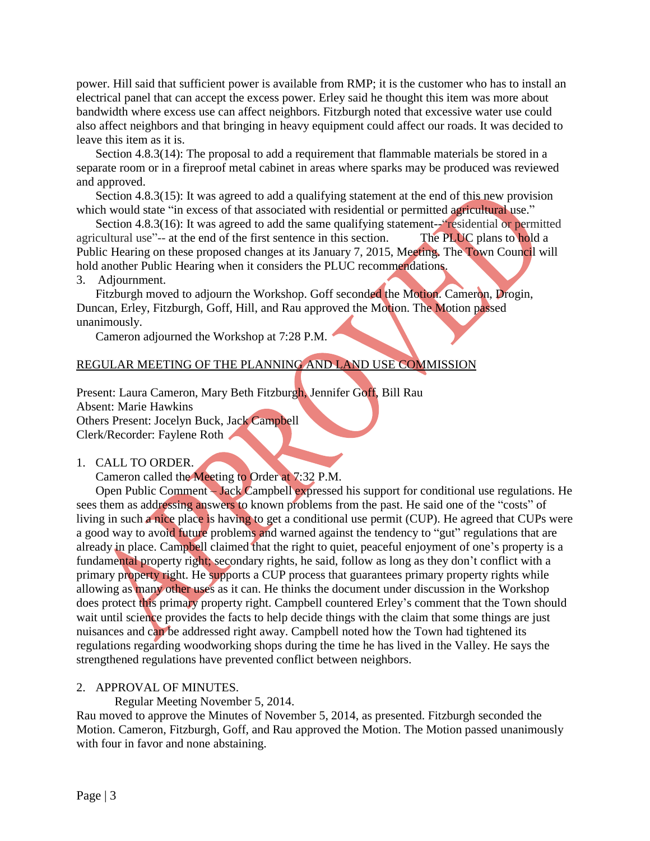power. Hill said that sufficient power is available from RMP; it is the customer who has to install an electrical panel that can accept the excess power. Erley said he thought this item was more about bandwidth where excess use can affect neighbors. Fitzburgh noted that excessive water use could also affect neighbors and that bringing in heavy equipment could affect our roads. It was decided to leave this item as it is.

Section 4.8.3(14): The proposal to add a requirement that flammable materials be stored in a separate room or in a fireproof metal cabinet in areas where sparks may be produced was reviewed and approved.

Section 4.8.3(15): It was agreed to add a qualifying statement at the end of this new provision which would state "in excess of that associated with residential or permitted agricultural use."

Section 4.8.3(16): It was agreed to add the same qualifying statement--residential or permitted agricultural use"-- at the end of the first sentence in this section. The PLUC plans to hold a Public Hearing on these proposed changes at its January 7, 2015, Meeting. The Town Council will hold another Public Hearing when it considers the PLUC recommendations.

# 3. Adjournment.

Fitzburgh moved to adjourn the Workshop. Goff seconded the Motion. Cameron, Drogin, Duncan, Erley, Fitzburgh, Goff, Hill, and Rau approved the Motion. The Motion passed unanimously.

Cameron adjourned the Workshop at 7:28 P.M.

# REGULAR MEETING OF THE PLANNING AND LAND USE COMMISSION

Present: Laura Cameron, Mary Beth Fitzburgh, Jennifer Goff, Bill Rau Absent: Marie Hawkins Others Present: Jocelyn Buck, Jack Campbell Clerk/Recorder: Faylene Roth

#### 1. CALL TO ORDER.

Cameron called the Meeting to Order at 7:32 P.M.

Open Public Comment – Jack Campbell expressed his support for conditional use regulations. He sees them as addressing answers to known problems from the past. He said one of the "costs" of living in such a nice place is having to get a conditional use permit (CUP). He agreed that CUPs were a good way to avoid future problems and warned against the tendency to "gut" regulations that are already in place. Campbell claimed that the right to quiet, peaceful enjoyment of one's property is a fundamental property right; secondary rights, he said, follow as long as they don't conflict with a primary property right. He supports a CUP process that guarantees primary property rights while allowing as many other uses as it can. He thinks the document under discussion in the Workshop does protect this primary property right. Campbell countered Erley's comment that the Town should wait until science provides the facts to help decide things with the claim that some things are just nuisances and can be addressed right away. Campbell noted how the Town had tightened its regulations regarding woodworking shops during the time he has lived in the Valley. He says the strengthened regulations have prevented conflict between neighbors.

## 2. APPROVAL OF MINUTES.

Regular Meeting November 5, 2014.

Rau moved to approve the Minutes of November 5, 2014, as presented. Fitzburgh seconded the Motion. Cameron, Fitzburgh, Goff, and Rau approved the Motion. The Motion passed unanimously with four in favor and none abstaining.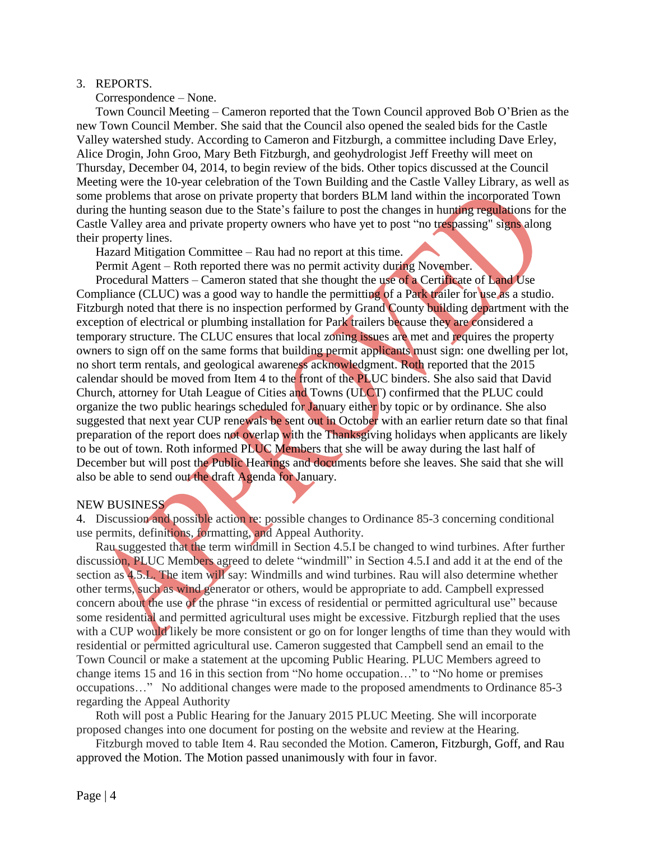#### 3. REPORTS.

Correspondence – None.

Town Council Meeting – Cameron reported that the Town Council approved Bob O'Brien as the new Town Council Member. She said that the Council also opened the sealed bids for the Castle Valley watershed study. According to Cameron and Fitzburgh, a committee including Dave Erley, Alice Drogin, John Groo, Mary Beth Fitzburgh, and geohydrologist Jeff Freethy will meet on Thursday, December 04, 2014, to begin review of the bids. Other topics discussed at the Council Meeting were the 10-year celebration of the Town Building and the Castle Valley Library, as well as some problems that arose on private property that borders BLM land within the incorporated Town during the hunting season due to the State's failure to post the changes in hunting regulations for the Castle Valley area and private property owners who have yet to post "no trespassing" signs along their property lines.

Hazard Mitigation Committee – Rau had no report at this time.

Permit Agent – Roth reported there was no permit activity during November.

Procedural Matters – Cameron stated that she thought the use of a Certificate of Land Use Compliance (CLUC) was a good way to handle the permitting of a Park trailer for use as a studio. Fitzburgh noted that there is no inspection performed by Grand County building department with the exception of electrical or plumbing installation for Park trailers because they are considered a temporary structure. The CLUC ensures that local zoning issues are met and requires the property owners to sign off on the same forms that building permit applicants must sign: one dwelling per lot, no short term rentals, and geological awareness acknowledgment. Roth reported that the 2015 calendar should be moved from Item 4 to the front of the PLUC binders. She also said that David Church, attorney for Utah League of Cities and Towns (ULCT) confirmed that the PLUC could organize the two public hearings scheduled for January either by topic or by ordinance. She also suggested that next year CUP renewals be sent out in October with an earlier return date so that final preparation of the report does not overlap with the Thanksgiving holidays when applicants are likely to be out of town. Roth informed PLUC Members that she will be away during the last half of December but will post the Public Hearings and documents before she leaves. She said that she will also be able to send out the draft Agenda for January.

#### NEW BUSINESS

4. Discussion and possible action re: possible changes to Ordinance 85-3 concerning conditional use permits, definitions, formatting, and Appeal Authority.

Rau suggested that the term windmill in Section 4.5.I be changed to wind turbines. After further discussion, PLUC Members agreed to delete "windmill" in Section 4.5.I and add it at the end of the section as 4.5.L. The item will say: Windmills and wind turbines. Rau will also determine whether other terms, such as wind generator or others, would be appropriate to add. Campbell expressed concern about the use of the phrase "in excess of residential or permitted agricultural use" because some residential and permitted agricultural uses might be excessive. Fitzburgh replied that the uses with a CUP would likely be more consistent or go on for longer lengths of time than they would with residential or permitted agricultural use. Cameron suggested that Campbell send an email to the Town Council or make a statement at the upcoming Public Hearing. PLUC Members agreed to change items 15 and 16 in this section from "No home occupation…" to "No home or premises occupations…" No additional changes were made to the proposed amendments to Ordinance 85-3 regarding the Appeal Authority

Roth will post a Public Hearing for the January 2015 PLUC Meeting. She will incorporate proposed changes into one document for posting on the website and review at the Hearing.

Fitzburgh moved to table Item 4. Rau seconded the Motion. Cameron, Fitzburgh, Goff, and Rau approved the Motion. The Motion passed unanimously with four in favor.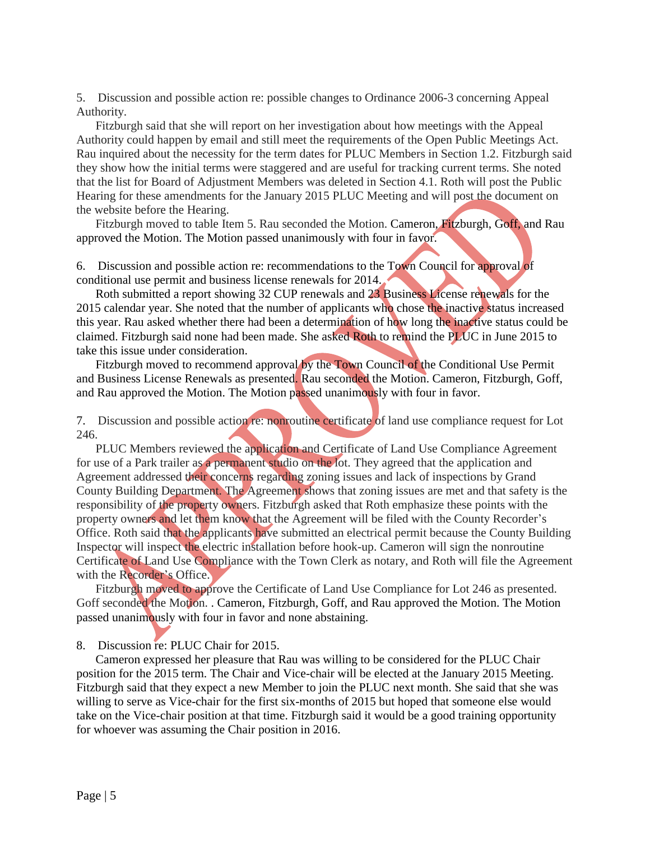5. Discussion and possible action re: possible changes to Ordinance 2006-3 concerning Appeal Authority.

Fitzburgh said that she will report on her investigation about how meetings with the Appeal Authority could happen by email and still meet the requirements of the Open Public Meetings Act. Rau inquired about the necessity for the term dates for PLUC Members in Section 1.2. Fitzburgh said they show how the initial terms were staggered and are useful for tracking current terms. She noted that the list for Board of Adjustment Members was deleted in Section 4.1. Roth will post the Public Hearing for these amendments for the January 2015 PLUC Meeting and will post the document on the website before the Hearing.

Fitzburgh moved to table Item 5. Rau seconded the Motion. Cameron, Fitzburgh, Goff, and Rau approved the Motion. The Motion passed unanimously with four in favor.

6. Discussion and possible action re: recommendations to the Town Council for approval of conditional use permit and business license renewals for 2014.

Roth submitted a report showing 32 CUP renewals and 23 Business License renewals for the 2015 calendar year. She noted that the number of applicants who chose the inactive status increased this year. Rau asked whether there had been a determination of how long the inactive status could be claimed. Fitzburgh said none had been made. She asked Roth to remind the PLUC in June 2015 to take this issue under consideration.

Fitzburgh moved to recommend approval by the Town Council of the Conditional Use Permit and Business License Renewals as presented. Rau seconded the Motion. Cameron, Fitzburgh, Goff, and Rau approved the Motion. The Motion passed unanimously with four in favor.

7. Discussion and possible action re: nonroutine certificate of land use compliance request for Lot 246.

PLUC Members reviewed the application and Certificate of Land Use Compliance Agreement for use of a Park trailer as a permanent studio on the lot. They agreed that the application and Agreement addressed their concerns regarding zoning issues and lack of inspections by Grand County Building Department. The Agreement shows that zoning issues are met and that safety is the responsibility of the property owners. Fitzburgh asked that Roth emphasize these points with the property owners and let them know that the Agreement will be filed with the County Recorder's Office. Roth said that the applicants have submitted an electrical permit because the County Building Inspector will inspect the electric installation before hook-up. Cameron will sign the nonroutine Certificate of Land Use Compliance with the Town Clerk as notary, and Roth will file the Agreement with the Recorder's Office.

Fitzburgh moved to approve the Certificate of Land Use Compliance for Lot 246 as presented. Goff seconded the Motion. . Cameron, Fitzburgh, Goff, and Rau approved the Motion. The Motion passed unanimously with four in favor and none abstaining.

8. Discussion re: PLUC Chair for 2015.

Cameron expressed her pleasure that Rau was willing to be considered for the PLUC Chair position for the 2015 term. The Chair and Vice-chair will be elected at the January 2015 Meeting. Fitzburgh said that they expect a new Member to join the PLUC next month. She said that she was willing to serve as Vice-chair for the first six-months of 2015 but hoped that someone else would take on the Vice-chair position at that time. Fitzburgh said it would be a good training opportunity for whoever was assuming the Chair position in 2016.